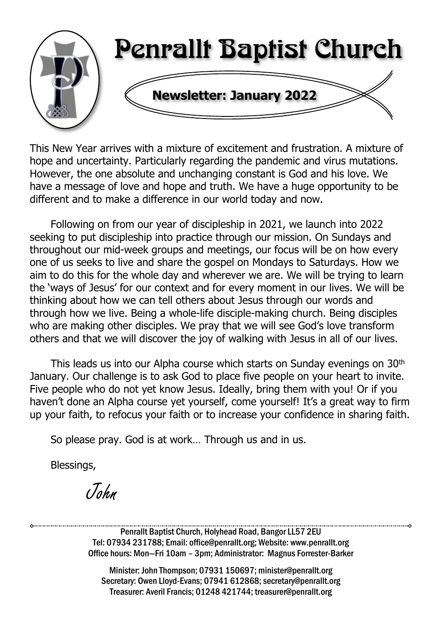

This New Year arrives with a mixture of excitement and frustration. A mixture of hope and uncertainty. Particularly regarding the pandemic and virus mutations. However, the one absolute and unchanging constant is God and his love. We have a message of love and hope and truth. We have a huge opportunity to be different and to make a difference in our world today and now.

Following on from our year of discipleship in 2021, we launch into 2022 seeking to put discipleship into practice through our mission. On Sundays and throughout our mid-week groups and meetings, our focus will be on how every one of us seeks to live and share the gospel on Mondays to Saturdays. How we aim to do this for the whole day and wherever we are. We will be trying to learn the 'ways of Jesus' for our context and for every moment in our lives. We will be thinking about how we can tell others about Jesus through our words and through how we live. Being a whole-life disciple-making church. Being disciples who are making other disciples. We pray that we will see God's love transform others and that we will discover the joy of walking with Jesus in all of our lives.

This leads us into our Alpha course which starts on Sunday evenings on 30<sup>th</sup> January. Our challenge is to ask God to place five people on your heart to invite. Five people who do not yet know Jesus. Ideally, bring them with you! Or if you haven't done an Alpha course yet yourself, come yourself! It's a great way to firm up your faith, to refocus your faith or to increase your confidence in sharing faith.

So please pray. God is at work… Through us and in us.

Blessings,

John

Penrallt Baptist Church, Holyhead Road, Bangor LL57 2EU Tel: 07934 231788; Email: office@penrallt.org; Website: www.penrallt.org Office hours: Mon—Fri 10am – 3pm; Administrator: Magnus Forrester-Barker

Minister: John Thompson; 07931 150697; minister@penrallt.org Secretary: Owen Lloyd-Evans; 07941 612868; secretary@penrallt.org Treasurer: Averil Francis; 01248 421744; treasurer@penrallt.org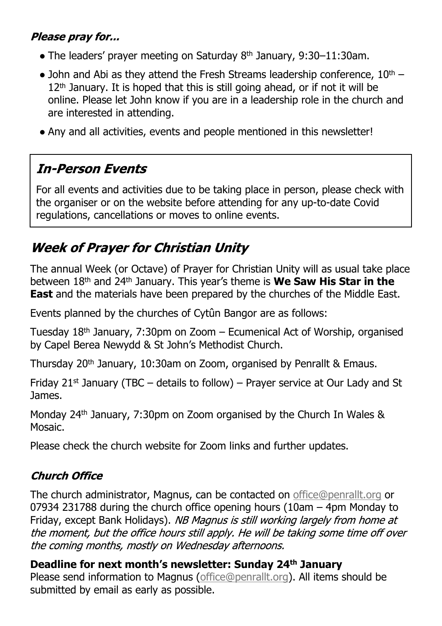#### Please pray for...

- $\bullet$  The leaders' prayer meeting on Saturday 8<sup>th</sup> January, 9:30–11:30am.
- John and Abi as they attend the Fresh Streams leadership conference,  $10^{th}$   $12<sup>th</sup>$  January. It is hoped that this is still going ahead, or if not it will be online. Please let John know if you are in a leadership role in the church and are interested in attending.
- Any and all activities, events and people mentioned in this newsletter!

## **In-Person Events**

For all events and activities due to be taking place in person, please check with the organiser or on the website before attending for any up-to-date Covid regulations, cancellations or moves to online events.

## **Week of Praver for Christian Unity**

The annual Week (or Octave) of Prayer for Christian Unity will as usual take place between 18th and 24th January. This year's theme is **We Saw His Star in the East** and the materials have been prepared by the churches of the Middle East.

Events planned by the churches of Cytûn Bangor are as follows:

Tuesday  $18<sup>th</sup>$  January, 7:30pm on Zoom – Ecumenical Act of Worship, organised by Capel Berea Newydd & St John's Methodist Church.

Thursday 20th January, 10:30am on Zoom, organised by Penrallt & Emaus.

Friday 21<sup>st</sup> January (TBC – details to follow) – Prayer service at Our Lady and St James.

Monday 24th January, 7:30pm on Zoom organised by the Church In Wales & Mosaic.

Please check the church website for Zoom links and further updates.

#### **Church Office**

The church administrator, Magnus, can be contacted on [office@penrallt.org](mailto:office@penrallt.org) or 07934 231788 during the church office opening hours (10am – 4pm Monday to Friday, except Bank Holidays). NB Magnus is still working largely from home at the moment, but the office hours still apply. He will be taking some time off over the coming months, mostly on Wednesday afternoons.

**Deadline for next month's newsletter: Sunday 24th January** Please send information to Magnus [\(office@penrallt.org\)](mailto:office@penrallt.org). All items should be submitted by email as early as possible.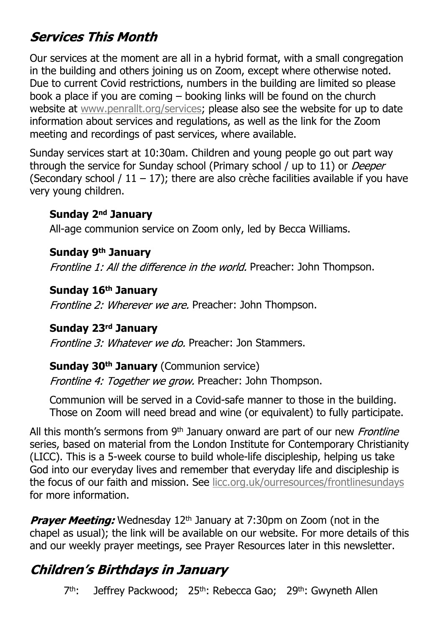## **Services This Month**

Our services at the moment are all in a hybrid format, with a small congregation in the building and others joining us on Zoom, except where otherwise noted. Due to current Covid restrictions, numbers in the building are limited so please book a place if you are coming – booking links will be found on the church website at [www.penrallt.org/services](https://www.penrallt.org/services/index.php); please also see the website for up to date information about services and regulations, as well as the link for the Zoom meeting and recordings of past services, where available.

Sunday services start at 10:30am. Children and young people go out part way through the service for Sunday school (Primary school / up to 11) or *Deeper* (Secondary school /  $11 - 17$ ); there are also crèche facilities available if you have very young children.

#### **Sunday 2nd January**

All-age communion service on Zoom only, led by Becca Williams.

#### **Sunday 9th January**

Frontline 1: All the difference in the world. Preacher: John Thompson.

#### **Sunday 16th January**

Frontline 2: Wherever we are. Preacher: John Thompson.

#### **Sunday 23rd January**

Frontline 3: Whatever we do. Preacher: Jon Stammers.

#### **Sunday 30th January** (Communion service)

Frontline 4: Together we grow. Preacher: John Thompson.

Communion will be served in a Covid-safe manner to those in the building. Those on Zoom will need bread and wine (or equivalent) to fully participate.

All this month's sermons from 9<sup>th</sup> January onward are part of our new *Frontline* series, based on material from the London Institute for Contemporary Christianity (LICC). This is a 5-week course to build whole-life discipleship, helping us take God into our everyday lives and remember that everyday life and discipleship is the focus of our faith and mission. See [licc.org.uk/ourresources/frontlinesundays](https://licc.org.uk/ourresources/frontlinesundays) for more information.

**Prayer Meeting:** Wednesday 12<sup>th</sup> January at 7:30pm on Zoom (not in the chapel as usual); the link will be available on our website. For more details of this and our weekly prayer meetings, see Prayer Resources later in this newsletter.

## **Children's Birthdays in January**

7<sup>th</sup>: Jeffrey Packwood; 25<sup>th</sup>: Rebecca Gao; 29<sup>th</sup>: Gwyneth Allen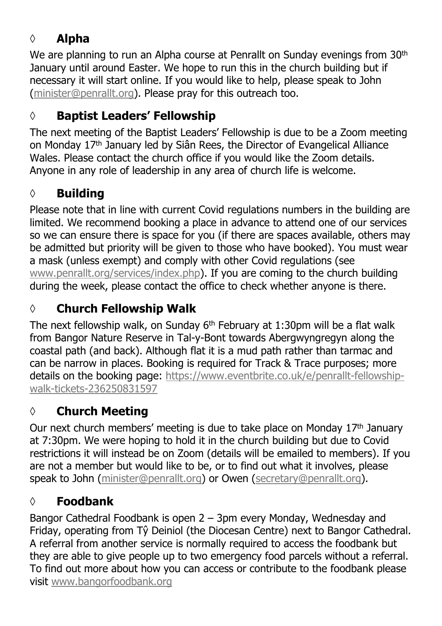## **◊ Alpha**

We are planning to run an Alpha course at Penrallt on Sunday evenings from 30<sup>th</sup> January until around Easter. We hope to run this in the church building but if necessary it will start online. If you would like to help, please speak to John [\(minister@penrallt.org](mailto:minister@penrallt.org)). Please pray for this outreach too.

### **◊ Baptist Leaders' Fellowship**

The next meeting of the Baptist Leaders' Fellowship is due to be a Zoom meeting on Monday 17<sup>th</sup> January led by Siân Rees, the Director of Evangelical Alliance Wales. Please contact the church office if you would like the Zoom details. Anyone in any role of leadership in any area of church life is welcome.

#### **◊ Building**

Please note that in line with current Covid regulations numbers in the building are limited. We recommend booking a place in advance to attend one of our services so we can ensure there is space for you (if there are spaces available, others may be admitted but priority will be given to those who have booked). You must wear a mask (unless exempt) and comply with other Covid regulations (see [www.penrallt.org/services/index.php](https://www.penrallt.org/services/index.php)). If you are coming to the church building during the week, please contact the office to check whether anyone is there.

## **◊ Church Fellowship Walk**

The next fellowship walk, on Sunday  $6<sup>th</sup>$  February at 1:30pm will be a flat walk from Bangor Nature Reserve in Tal-y-Bont towards Abergwyngregyn along the coastal path (and back). Although flat it is a mud path rather than tarmac and can be narrow in places. Booking is required for Track & Trace purposes; more details on the booking page: [https://www.eventbrite.co.uk/e/penrallt-fellowship](https://www.eventbrite.co.uk/e/penrallt-fellowship-walk-tickets-236250831597)[walk-tickets-236250831597](https://www.eventbrite.co.uk/e/penrallt-fellowship-walk-tickets-236250831597)

### **◊ Church Meeting**

Our next church members' meeting is due to take place on Monday 17<sup>th</sup> January at 7:30pm. We were hoping to hold it in the church building but due to Covid restrictions it will instead be on Zoom (details will be emailed to members). If you are not a member but would like to be, or to find out what it involves, please speak to John ([minister@penrallt.org\)](mailto:minister@penrallt.org) or Owen ([secretary@penrallt.org](mailto:secretary@penrallt.org)).

#### **◊ Foodbank**

Bangor Cathedral Foodbank is open 2 – 3pm every Monday, Wednesday and Friday, operating from Tŷ Deiniol (the Diocesan Centre) next to Bangor Cathedral. A referral from another service is normally required to access the foodbank but they are able to give people up to two emergency food parcels without a referral. To find out more about how you can access or contribute to the foodbank please visit [www.bangorfoodbank.org](https://www.bangorfoodbank.org)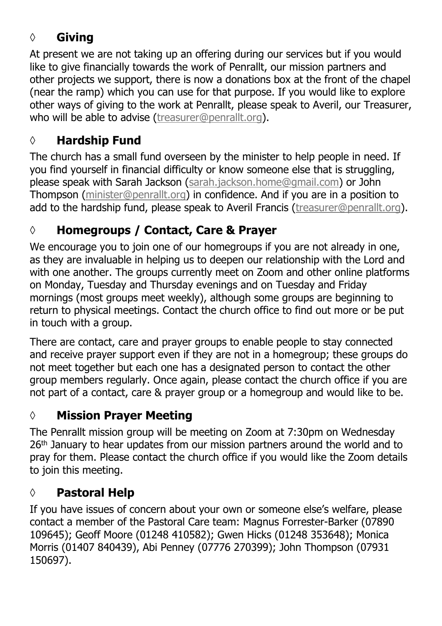### **◊ Giving**

At present we are not taking up an offering during our services but if you would like to give financially towards the work of Penrallt, our mission partners and other projects we support, there is now a donations box at the front of the chapel (near the ramp) which you can use for that purpose. If you would like to explore other ways of giving to the work at Penrallt, please speak to Averil, our Treasurer, who will be able to advise [\(treasurer@penrallt.org\)](mailto:treasurer@penrallt.org).

### **◊ Hardship Fund**

The church has a small fund overseen by the minister to help people in need. If you find yourself in financial difficulty or know someone else that is struggling, please speak with Sarah Jackson ([sarah.jackson.home@gmail.com](mailto:sarah.jackson.home@gmail.com)) or John Thompson ([minister@penrallt.org\)](mailto:minister@penrallt.org) in confidence. And if you are in a position to add to the hardship fund, please speak to Averil Francis ([treasurer@penrallt.org\)](mailto:treasurer@penrallt.org).

### **◊ Homegroups / Contact, Care & Prayer**

We encourage you to join one of our homegroups if you are not already in one, as they are invaluable in helping us to deepen our relationship with the Lord and with one another. The groups currently meet on Zoom and other online platforms on Monday, Tuesday and Thursday evenings and on Tuesday and Friday mornings (most groups meet weekly), although some groups are beginning to return to physical meetings. Contact the church office to find out more or be put in touch with a group.

There are contact, care and prayer groups to enable people to stay connected and receive prayer support even if they are not in a homegroup; these groups do not meet together but each one has a designated person to contact the other group members regularly. Once again, please contact the church office if you are not part of a contact, care & prayer group or a homegroup and would like to be.

#### **◊ Mission Prayer Meeting**

The Penrallt mission group will be meeting on Zoom at 7:30pm on Wednesday 26<sup>th</sup> January to hear updates from our mission partners around the world and to pray for them. Please contact the church office if you would like the Zoom details to join this meeting.

#### **◊ Pastoral Help**

If you have issues of concern about your own or someone else's welfare, please contact a member of the Pastoral Care team: Magnus Forrester-Barker (07890 109645); Geoff Moore (01248 410582); Gwen Hicks (01248 353648); Monica Morris (01407 840439), Abi Penney (07776 270399); John Thompson (07931 150697).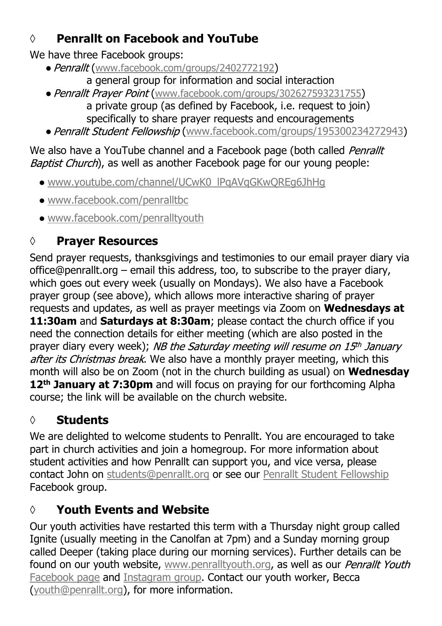### **◊ Penrallt on Facebook and YouTube**

We have three Facebook groups:

- Penrallt ([www.facebook.com/groups/2402772192](https://www.facebook.com/groups/2402772192))
	- a general group for information and social interaction
- Penrallt Prayer Point ([www.facebook.com/groups/302627593231755](https://www.facebook.com/groups/302627593231755)) a private group (as defined by Facebook, i.e. request to join) specifically to share prayer requests and encouragements
- Penrallt Student Fellowship ([www.facebook.com/groups/195300234272943](https://www.facebook.com/groups/195300234272943))

#### We also have a YouTube channel and a Facebook page (both called Penrallt Baptist Church), as well as another Facebook page for our young people:

- [www.youtube.com/channel/UCwK0\\_lPqAVqGKwQREg6JhHg](https://www.youtube.com/channel/UCwK0_lPqAVqGKwQREg6JhHg)
- [www.facebook.com/penralltbc](https://www.facebook.com/penralltbc)
- [www.facebook.com/penralltyouth](https://www.facebook.com/penralltyouth)

## **◊ Prayer Resources**

Send prayer requests, thanksgivings and testimonies to our email prayer diary via office@penrallt.org – email this address, too, to subscribe to the prayer diary, which goes out every week (usually on Mondays). We also have a Facebook prayer group (see above), which allows more interactive sharing of prayer requests and updates, as well as prayer meetings via Zoom on **Wednesdays at 11:30am** and **Saturdays at 8:30am**; please contact the church office if you need the connection details for either meeting (which are also posted in the prayer diary every week); NB the Saturday meeting will resume on  $15<sup>th</sup>$  January after its Christmas break. We also have a monthly prayer meeting, which this month will also be on Zoom (not in the church building as usual) on **Wednesday 12th January at 7:30pm** and will focus on praying for our forthcoming Alpha course; the link will be available on the church website.

## **◊ Students**

We are delighted to welcome students to Penrallt. You are encouraged to take part in church activities and join a homegroup. For more information about student activities and how Penrallt can support you, and vice versa, please contact John on [students@penrallt.org](mailto:students@penrallt.org) or see our [Penrallt Student Fellowship](https://www.facebook.com/groups/195300234272943) Facebook group.

## **◊ Youth Events and Website**

Our youth activities have restarted this term with a Thursday night group called Ignite (usually meeting in the Canolfan at 7pm) and a Sunday morning group called Deeper (taking place during our morning services). Further details can be found on our youth website, [www.penralltyouth.org](https://www.penralltyouth.org/), as well as our Penrallt Youth [Facebook page](https://www.facebook.com/penralltyouth) and [Instagram group](https://www.instagram.com/penralltyouth/). Contact our youth worker, Becca [\(youth@penrallt.org\)](mailto:youth@penrallt.org), for more information.